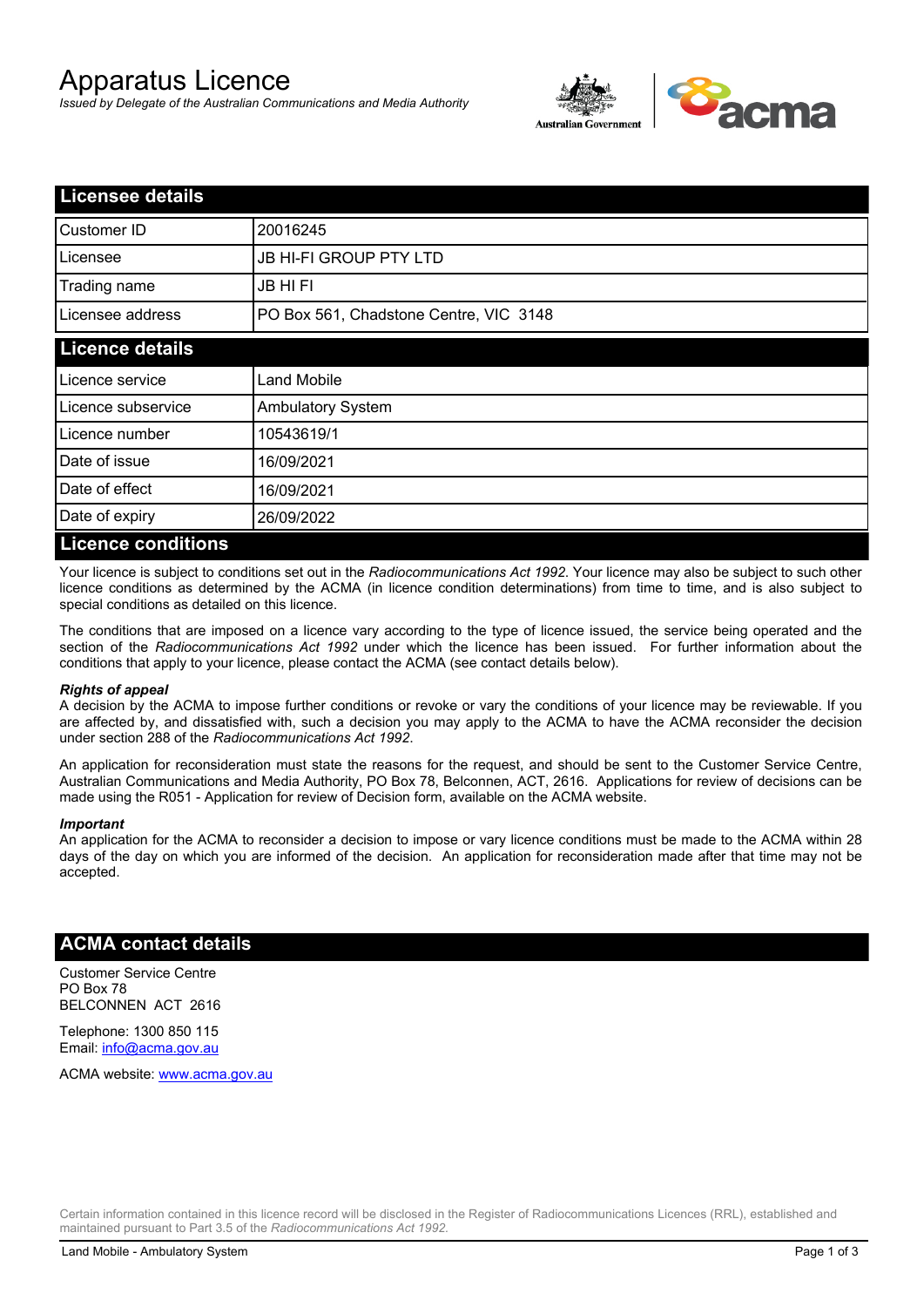# Apparatus Licence

*Issued by Delegate of the Australian Communications and Media Authority*



| <b>Licensee details</b>   |                                        |  |
|---------------------------|----------------------------------------|--|
| Customer ID               | 20016245                               |  |
| Licensee                  | <b>JB HI-FI GROUP PTY LTD</b>          |  |
| Trading name              | <b>JB HIFI</b>                         |  |
| Licensee address          | PO Box 561, Chadstone Centre, VIC 3148 |  |
| <b>Licence details</b>    |                                        |  |
| Licence service           | <b>Land Mobile</b>                     |  |
| Licence subservice        | <b>Ambulatory System</b>               |  |
| Licence number            | 10543619/1                             |  |
| Date of issue             | 16/09/2021                             |  |
| Date of effect            | 16/09/2021                             |  |
| Date of expiry            | 26/09/2022                             |  |
| <b>Licence conditions</b> |                                        |  |

Your licence is subject to conditions set out in the *Radiocommunications Act 1992*. Your licence may also be subject to such other licence conditions as determined by the ACMA (in licence condition determinations) from time to time, and is also subject to special conditions as detailed on this licence.

The conditions that are imposed on a licence vary according to the type of licence issued, the service being operated and the section of the *Radiocommunications Act 1992* under which the licence has been issued. For further information about the conditions that apply to your licence, please contact the ACMA (see contact details below).

#### *Rights of appeal*

A decision by the ACMA to impose further conditions or revoke or vary the conditions of your licence may be reviewable. If you are affected by, and dissatisfied with, such a decision you may apply to the ACMA to have the ACMA reconsider the decision under section 288 of the *Radiocommunications Act 1992*.

An application for reconsideration must state the reasons for the request, and should be sent to the Customer Service Centre, Australian Communications and Media Authority, PO Box 78, Belconnen, ACT, 2616. Applications for review of decisions can be made using the R051 - Application for review of Decision form, available on the ACMA website.

#### *Important*

An application for the ACMA to reconsider a decision to impose or vary licence conditions must be made to the ACMA within 28 days of the day on which you are informed of the decision. An application for reconsideration made after that time may not be accepted.

### **ACMA contact details**

Customer Service Centre PO Box 78 BELCONNEN ACT 2616

Telephone: 1300 850 115 Email: info@acma.gov.au

ACMA website: www.acma.gov.au

Certain information contained in this licence record will be disclosed in the Register of Radiocommunications Licences (RRL), established and maintained pursuant to Part 3.5 of the *Radiocommunications Act 1992.*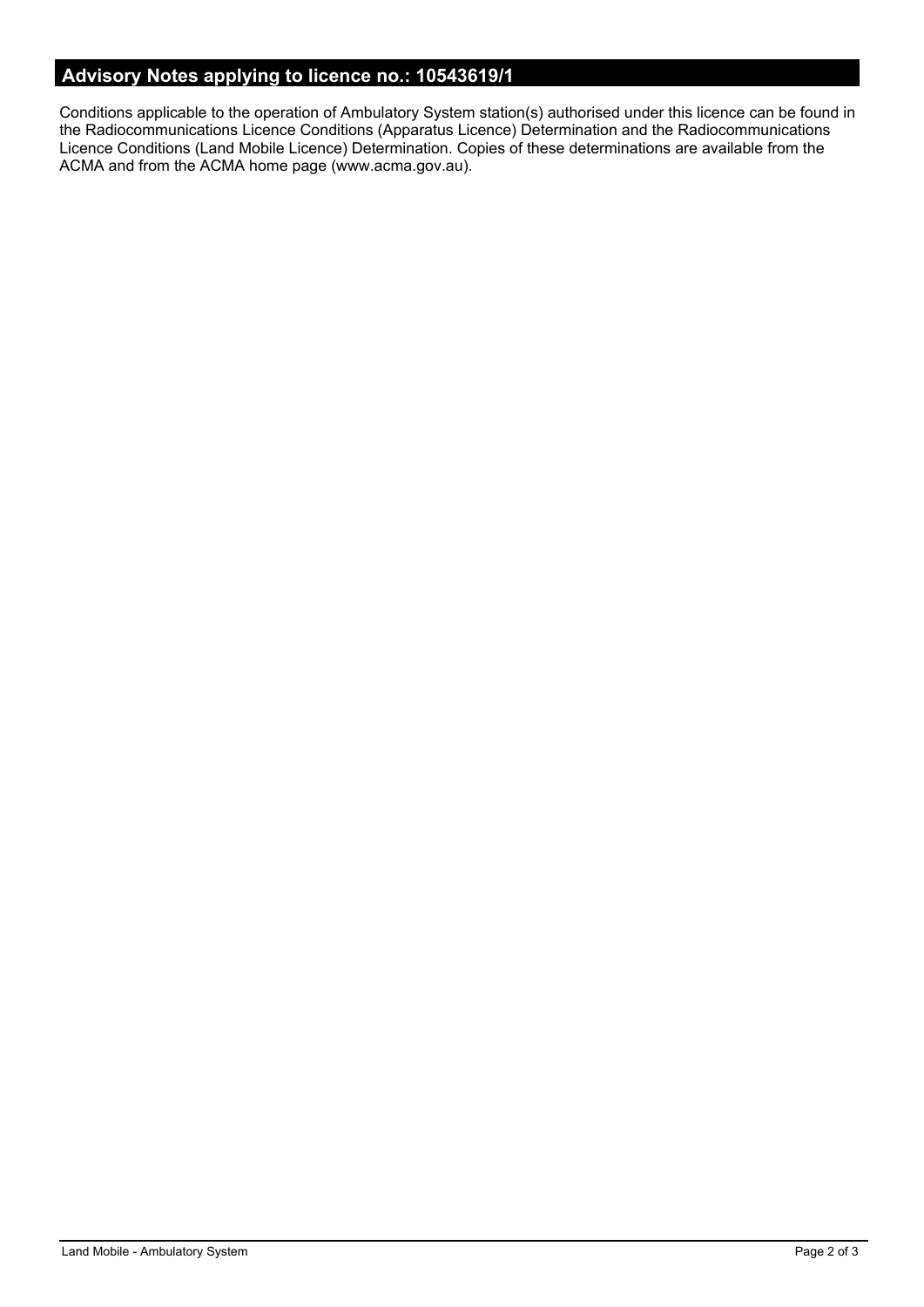# **Advisory Notes applying to licence no.: 10543619/1**

Conditions applicable to the operation of Ambulatory System station(s) authorised under this licence can be found in the Radiocommunications Licence Conditions (Apparatus Licence) Determination and the Radiocommunications Licence Conditions (Land Mobile Licence) Determination. Copies of these determinations are available from the ACMA and from the ACMA home page (www.acma.gov.au).